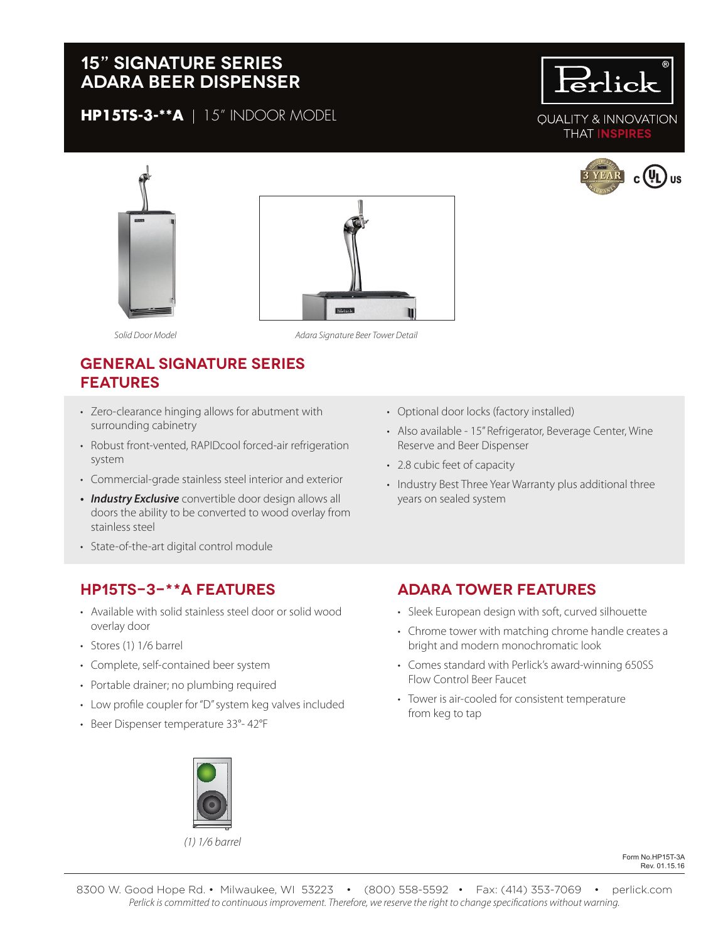# **15" signature series Adara beer dispenser**

**HP15TS-3-\*\*A** | 15" INDOOR MODEL









*Solid Door Model*

*Adara Signature Beer Tower Detail*

# **general signature series features**

- Zero-clearance hinging allows for abutment with surrounding cabinetry
- Robust front-vented, RAPIDcool forced-air refrigeration system
- Commercial-grade stainless steel interior and exterior
- *• Industry Exclusive* convertible door design allows all doors the ability to be converted to wood overlay from stainless steel
- State-of-the-art digital control module

## **HP15TS-3-\*\*A features**

- Available with solid stainless steel door or solid wood overlay door
- Stores (1) 1/6 barrel
- Complete, self-contained beer system
- Portable drainer; no plumbing required
- Low profile coupler for "D" system keg valves included
- Beer Dispenser temperature 33°- 42°F
- Optional door locks (factory installed)
- Also available 15" Refrigerator, Beverage Center, Wine Reserve and Beer Dispenser
- 2.8 cubic feet of capacity
- Industry Best Three Year Warranty plus additional three years on sealed system

#### **Adara tower features**

- Sleek European design with soft, curved silhouette
- Chrome tower with matching chrome handle creates a bright and modern monochromatic look
- Comes standard with Perlick's award-winning 650SS Flow Control Beer Faucet
- Tower is air-cooled for consistent temperature from keg to tap



*(1) 1/6 barrel*

Form No.HP15T-3A Rev. 01.15.16